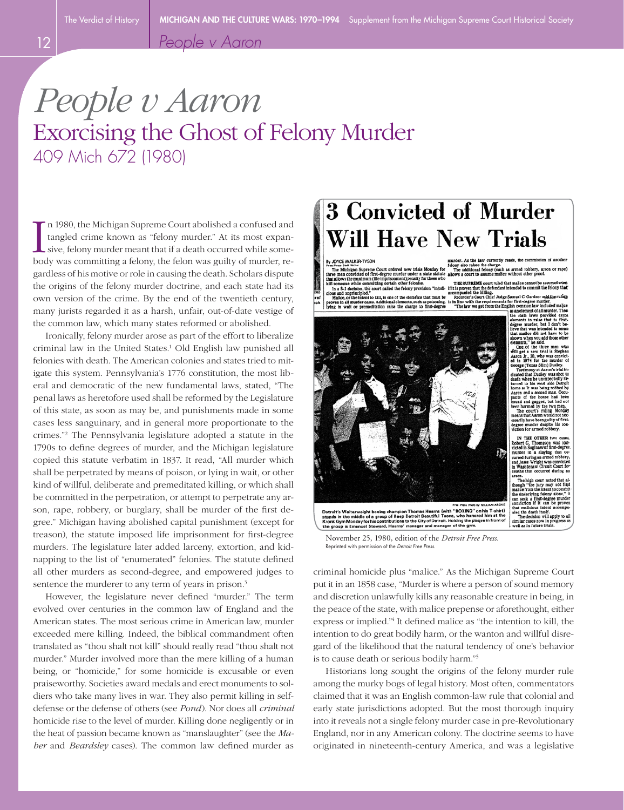12

*People v Aaron*

# *People v Aaron* Exorcising the Ghost of Felony Murder 409 Mich 672 (1980)

In 1980, the Michigan Supreme Court abolished a confused and tangled crime known as "felony murder." At its most expansive, felony murder meant that if a death occurred while somebody was committing a felony, the felon was n 1980, the Michigan Supreme Court abolished a confused and tangled crime known as "felony murder." At its most expansive, felony murder meant that if a death occurred while somegardless of his motive or role in causing the death. Scholars dispute the origins of the felony murder doctrine, and each state had its own version of the crime. By the end of the twentieth century, many jurists regarded it as a harsh, unfair, out-of-date vestige of the common law, which many states reformed or abolished.

Ironically, felony murder arose as part of the effort to liberalize criminal law in the United States.1 Old English law punished all felonies with death. The American colonies and states tried to mitigate this system. Pennsylvania's 1776 constitution, the most liberal and democratic of the new fundamental laws, stated, "The penal laws as heretofore used shall be reformed by the Legislature of this state, as soon as may be, and punishments made in some cases less sanguinary, and in general more proportionate to the crimes."2 The Pennsylvania legislature adopted a statute in the 1790s to define degrees of murder, and the Michigan legislature copied this statute verbatim in 1837. It read, "All murder which shall be perpetrated by means of poison, or lying in wait, or other kind of willful, deliberate and premeditated killing, or which shall be committed in the perpetration, or attempt to perpetrate any arson, rape, robbery, or burglary, shall be murder of the first degree." Michigan having abolished capital punishment (except for treason), the statute imposed life imprisonment for first-degree murders. The legislature later added larceny, extortion, and kidnapping to the list of "enumerated" felonies. The statute defined all other murders as second-degree, and empowered judges to sentence the murderer to any term of years in prison.<sup>3</sup>

However, the legislature never defined "murder." The term evolved over centuries in the common law of England and the American states. The most serious crime in American law, murder exceeded mere killing. Indeed, the biblical commandment often translated as "thou shalt not kill" should really read "thou shalt not murder." Murder involved more than the mere killing of a human being, or "homicide," for some homicide is excusable or even praiseworthy. Societies award medals and erect monuments to soldiers who take many lives in war. They also permit killing in selfdefense or the defense of others (see *Pond*). Nor does all *criminal* homicide rise to the level of murder. Killing done negligently or in the heat of passion became known as "manslaughter" (see the *Maher* and *Beardsley* cases). The common law defined murder as

## **3 Convicted of Murder Will Have New Trials**

en.<br>mt to kill, is one of the el

e who<br>THE SUPREME court ruled that malice cannot b<br>injudi- if it is proven that the defendant intended to commit panied the killing.<br>:order's Court Chief Judge Samuel C: Gardner



npion Thomas Hearns ( ith "BOXING" on his T-shirt)<br>ens, who henored him at the of Keep D of a gre  $r$  of the av

criminal homicide plus "malice." As the Michigan Supreme Court put it in an 1858 case, "Murder is where a person of sound memory and discretion unlawfully kills any reasonable creature in being, in the peace of the state, with malice prepense or aforethought, either express or implied."4 It defined malice as "the intention to kill, the intention to do great bodily harm, or the wanton and willful disregard of the likelihood that the natural tendency of one's behavior is to cause death or serious bodily harm."5

Historians long sought the origins of the felony murder rule among the murky bogs of legal history. Most often, commentators claimed that it was an English common-law rule that colonial and early state jurisdictions adopted. But the most thorough inquiry into it reveals not a single felony murder case in pre-Revolutionary England, nor in any American colony. The doctrine seems to have originated in nineteenth-century America, and was a legislative

November 25, 1980, edition of the *Detroit Free Press.* Reprinted with permission of the *Detroit Free Press.*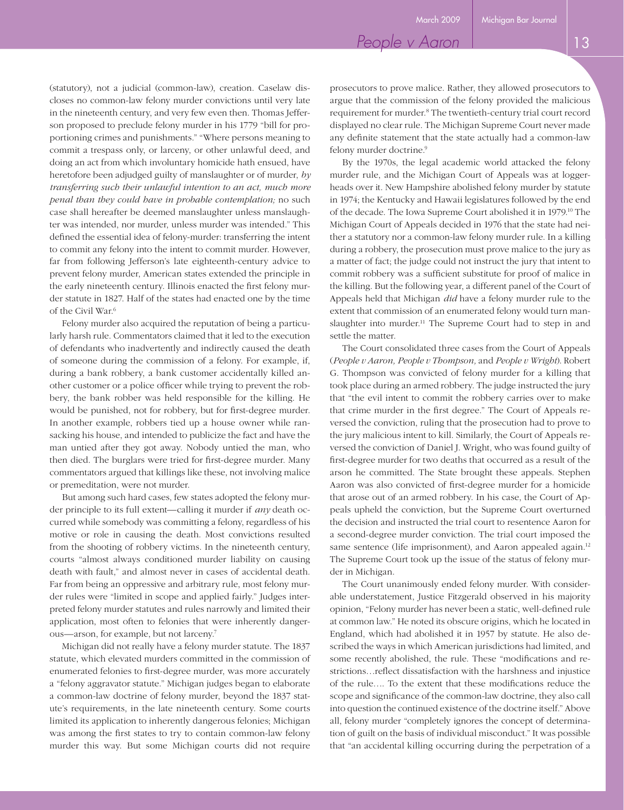### *People v Aaron*

13

(statutory), not a judicial (common-law), creation. Caselaw discloses no common-law felony murder convictions until very late in the nineteenth century, and very few even then. Thomas Jefferson proposed to preclude felony murder in his 1779 "bill for proportioning crimes and punishments." "Where persons meaning to commit a trespass only, or larceny, or other unlawful deed, and doing an act from which involuntary homicide hath ensued, have heretofore been adjudged guilty of manslaughter or of murder, *by transferring such their unlawful intention to an act, much more penal than they could have in probable contemplation;* no such case shall hereafter be deemed manslaughter unless manslaughter was intended, nor murder, unless murder was intended." This defined the essential idea of felony-murder: transferring the intent to commit any felony into the intent to commit murder. However, far from following Jefferson's late eighteenth-century advice to prevent felony murder, American states extended the principle in the early nineteenth century. Illinois enacted the first felony murder statute in 1827. Half of the states had enacted one by the time of the Civil War.6

Felony murder also acquired the reputation of being a particularly harsh rule. Commentators claimed that it led to the execution of defendants who inadvertently and indirectly caused the death of someone during the commission of a felony. For example, if, during a bank robbery, a bank customer accidentally killed another customer or a police officer while trying to prevent the robbery, the bank robber was held responsible for the killing. He would be punished, not for robbery, but for first-degree murder. In another example, robbers tied up a house owner while ransacking his house, and intended to publicize the fact and have the man untied after they got away. Nobody untied the man, who then died. The burglars were tried for first-degree murder. Many commentators argued that killings like these, not involving malice or premeditation, were not murder.

But among such hard cases, few states adopted the felony murder principle to its full extent—calling it murder if *any* death occurred while somebody was committing a felony, regardless of his motive or role in causing the death. Most convictions resulted from the shooting of robbery victims. In the nineteenth century, courts "almost always conditioned murder liability on causing death with fault," and almost never in cases of accidental death. Far from being an oppressive and arbitrary rule, most felony murder rules were "limited in scope and applied fairly." Judges interpreted felony murder statutes and rules narrowly and limited their application, most often to felonies that were inherently dangerous—arson, for example, but not larceny.7

Michigan did not really have a felony murder statute. The 1837 statute, which elevated murders committed in the commission of enumerated felonies to first-degree murder, was more accurately a "felony aggravator statute." Michigan judges began to elaborate a common-law doctrine of felony murder, beyond the 1837 statute's requirements, in the late nineteenth century. Some courts limited its application to inherently dangerous felonies; Michigan was among the first states to try to contain common-law felony murder this way. But some Michigan courts did not require prosecutors to prove malice. Rather, they allowed prosecutors to argue that the commission of the felony provided the malicious requirement for murder.8 The twentieth-century trial court record displayed no clear rule. The Michigan Supreme Court never made any definite statement that the state actually had a common-law felony murder doctrine.<sup>9</sup>

By the 1970s, the legal academic world attacked the felony murder rule, and the Michigan Court of Appeals was at loggerheads over it. New Hampshire abolished felony murder by statute in 1974; the Kentucky and Hawaii legislatures followed by the end of the decade. The Iowa Supreme Court abolished it in 1979.10 The Michigan Court of Appeals decided in 1976 that the state had neither a statutory nor a common-law felony murder rule. In a killing during a robbery, the prosecution must prove malice to the jury as a matter of fact; the judge could not instruct the jury that intent to commit robbery was a sufficient substitute for proof of malice in the killing. But the following year, a different panel of the Court of Appeals held that Michigan *did* have a felony murder rule to the extent that commission of an enumerated felony would turn manslaughter into murder.<sup>11</sup> The Supreme Court had to step in and settle the matter.

The Court consolidated three cases from the Court of Appeals (*People v Aaron, People v Thompson,* and *People v Wright*). Robert G. Thompson was convicted of felony murder for a killing that took place during an armed robbery. The judge instructed the jury that "the evil intent to commit the robbery carries over to make that crime murder in the first degree." The Court of Appeals reversed the conviction, ruling that the prosecution had to prove to the jury malicious intent to kill. Similarly, the Court of Appeals reversed the conviction of Daniel J. Wright, who was found guilty of first-degree murder for two deaths that occurred as a result of the arson he committed. The State brought these appeals. Stephen Aaron was also convicted of first-degree murder for a homicide that arose out of an armed robbery. In his case, the Court of Appeals upheld the conviction, but the Supreme Court overturned the decision and instructed the trial court to resentence Aaron for a second-degree murder conviction. The trial court imposed the same sentence (life imprisonment), and Aaron appealed again.<sup>12</sup> The Supreme Court took up the issue of the status of felony murder in Michigan.

The Court unanimously ended felony murder. With considerable understatement, Justice Fitzgerald observed in his majority opinion, "Felony murder has never been a static, well-defined rule at common law." He noted its obscure origins, which he located in England, which had abolished it in 1957 by statute. He also described the ways in which American jurisdictions had limited, and some recently abolished, the rule. These "modifications and restrictions…reflect dissatisfaction with the harshness and injustice of the rule…. To the extent that these modifications reduce the scope and significance of the common-law doctrine, they also call into question the continued existence of the doctrine itself." Above all, felony murder "completely ignores the concept of determination of guilt on the basis of individual misconduct." It was possible that "an accidental killing occurring during the perpetration of a